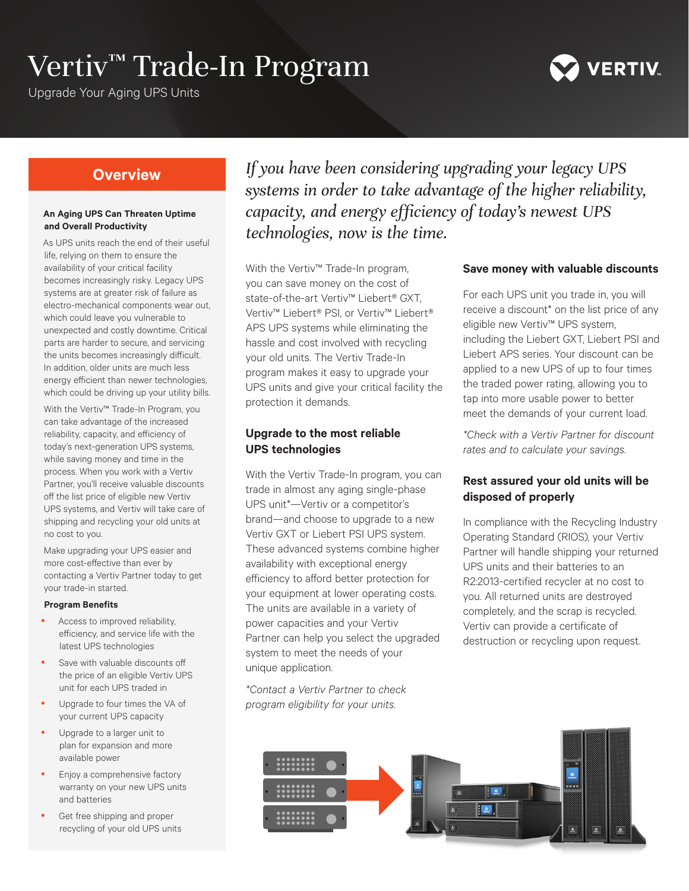# Vertiv™ Trade-In Program

Upgrade Your Aging UPS Units



# **Overview**

#### **An Aging UPS Can Threaten Uptime and Overall Productivity**

As UPS units reach the end of their useful life, relying on them to ensure the availability of your critical facility becomes increasingly risky. Legacy UPS systems are at greater risk of failure as electro-mechanical components wear out, which could leave you vulnerable to unexpected and costly downtime. Critical parts are harder to secure, and servicing the units becomes increasingly difficult. In addition, older units are much less energy efficient than newer technologies, which could be driving up your utility bills.

With the Vertiv™ Trade-In Program, you can take advantage of the increased reliability, capacity, and efficiency of today's next-generation UPS systems, while saving money and time in the process. When you work with a Vertiv Partner, you'll receive valuable discounts off the list price of eligible new Vertiv UPS systems, and Vertiv will take care of shipping and recycling your old units at no cost to you.

Make upgrading your UPS easier and more cost-effective than ever by contacting a Vertiv Partner today to get your trade-in started.

#### **Program Benefits**

- Access to improved reliability. efficiency, and service life with the latest UPS technologies
- Save with valuable discounts off the price of an eligible Vertiv UPS unit for each UPS traded in
- Upgrade to four times the VA of your current UPS capacity
- Upgrade to a larger unit to plan for expansion and more available power
- Enjoy a comprehensive factory warranty on your new UPS units and batteries
- Get free shipping and proper recycling of your old UPS units

*If you have been considering upgrading your legacy UPS systems in order to take advantage of the higher reliability, capacity, and energy efficiency of today's newest UPS technologies, now is the time.* 

With the Vertiv™ Trade-In program, you can save money on the cost of state-of-the-art Vertiv™ Liebert® GXT, Vertiv™ Liebert® PSI, or Vertiv™ Liebert® APS UPS systems while eliminating the hassle and cost involved with recycling your old units. The Vertiv Trade-In program makes it easy to upgrade your UPS units and give your critical facility the protection it demands.

## **Upgrade to the most reliable UPS technologies**

With the Vertiv Trade-In program, you can trade in almost any aging single-phase UPS unit\*—Vertiv or a competitor's brand—and choose to upgrade to a new Vertiv GXT or Liebert PSI UPS system. These advanced systems combine higher availability with exceptional energy efficiency to afford better protection for your equipment at lower operating costs. The units are available in a variety of power capacities and your Vertiv Partner can help you select the upgraded system to meet the needs of your unique application.

*\*Contact a Vertiv Partner to check program eligibility for your units.*

#### **Save money with valuable discounts**

For each UPS unit you trade in, you will receive a discount\* on the list price of any eligible new Vertiv™ UPS system, including the Liebert GXT, Liebert PSI and Liebert APS series. Your discount can be applied to a new UPS of up to four times the traded power rating, allowing you to tap into more usable power to better meet the demands of your current load.

*\*Check with a Vertiv Partner for discount rates and to calculate your savings.* 

## **Rest assured your old units will be disposed of properly**

In compliance with the Recycling Industry Operating Standard (RIOS), your Vertiv Partner will handle shipping your returned UPS units and their batteries to an R2:2013-certified recycler at no cost to you. All returned units are destroyed completely, and the scrap is recycled. Vertiv can provide a certificate of destruction or recycling upon request.